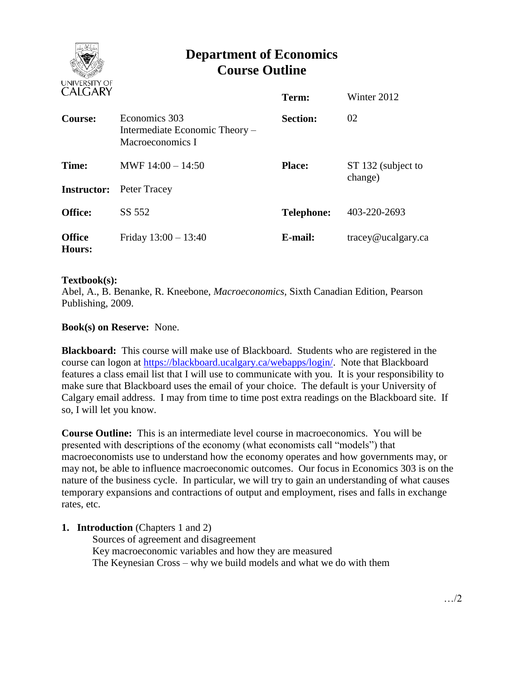

# **Department of Economics Course Outline**

| CALUANI                 |                                                                     | Term:             | Winter 2012                   |
|-------------------------|---------------------------------------------------------------------|-------------------|-------------------------------|
| Course:                 | Economics 303<br>Intermediate Economic Theory –<br>Macroeconomics I | <b>Section:</b>   | 02                            |
| Time:                   | MWF $14:00 - 14:50$                                                 | <b>Place:</b>     | ST 132 (subject to<br>change) |
| <b>Instructor:</b>      | Peter Tracey                                                        |                   |                               |
| <b>Office:</b>          | SS 552                                                              | <b>Telephone:</b> | 403-220-2693                  |
| <b>Office</b><br>Hours: | Friday $13:00 - 13:40$                                              | E-mail:           | tracey@ucalgary.ca            |

# **Textbook(s):**

Abel, A., B. Benanke, R. Kneebone, *Macroeconomics*, Sixth Canadian Edition, Pearson Publishing, 2009.

# **Book(s) on Reserve:** None.

**Blackboard:** This course will make use of Blackboard. Students who are registered in the course can logon at [https://blackboard.ucalgary.ca/webapps/login/.](https://blackboard.ucalgary.ca/webapps/login/) Note that Blackboard features a class email list that I will use to communicate with you. It is your responsibility to make sure that Blackboard uses the email of your choice. The default is your University of Calgary email address. I may from time to time post extra readings on the Blackboard site. If so, I will let you know.

**Course Outline:** This is an intermediate level course in macroeconomics. You will be presented with descriptions of the economy (what economists call "models") that macroeconomists use to understand how the economy operates and how governments may, or may not, be able to influence macroeconomic outcomes. Our focus in Economics 303 is on the nature of the business cycle. In particular, we will try to gain an understanding of what causes temporary expansions and contractions of output and employment, rises and falls in exchange rates, etc.

# **1. Introduction** (Chapters 1 and 2)

Sources of agreement and disagreement Key macroeconomic variables and how they are measured The Keynesian Cross – why we build models and what we do with them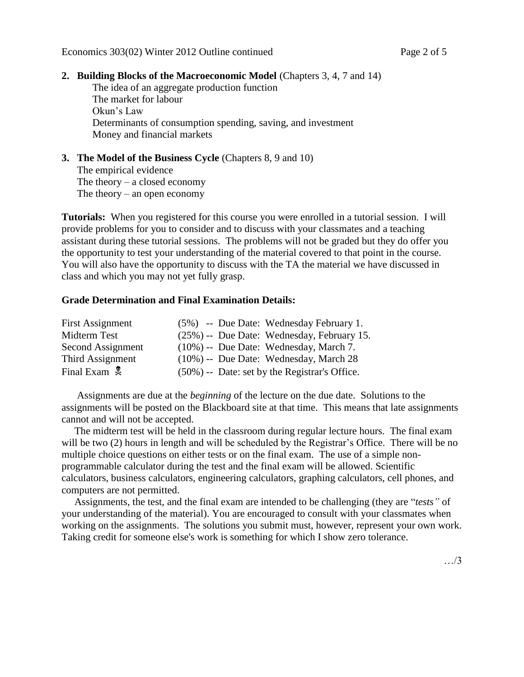# **2. Building Blocks of the Macroeconomic Model** (Chapters 3, 4, 7 and 14)

The idea of an aggregate production function The market for labour Okun's Law Determinants of consumption spending, saving, and investment Money and financial markets

# **3. The Model of the Business Cycle** (Chapters 8, 9 and 10) The empirical evidence The theory  $-$  a closed economy The theory – an open economy

**Tutorials:** When you registered for this course you were enrolled in a tutorial session. I will provide problems for you to consider and to discuss with your classmates and a teaching assistant during these tutorial sessions. The problems will not be graded but they do offer you the opportunity to test your understanding of the material covered to that point in the course. You will also have the opportunity to discuss with the TA the material we have discussed in class and which you may not yet fully grasp.

#### **Grade Determination and Final Examination Details:**

| <b>First Assignment</b>  |  | (5%) -- Due Date: Wednesday February 1.       |
|--------------------------|--|-----------------------------------------------|
| Midterm Test             |  | (25%) -- Due Date: Wednesday, February 15.    |
| Second Assignment        |  | $(10\%)$ -- Due Date: Wednesday, March 7.     |
| Third Assignment         |  | $(10\%)$ -- Due Date: Wednesday, March 28     |
| Final Exam $\frac{1}{2}$ |  | (50%) -- Date: set by the Registrar's Office. |

 Assignments are due at the *beginning* of the lecture on the due date. Solutions to the assignments will be posted on the Blackboard site at that time. This means that late assignments cannot and will not be accepted.

 The midterm test will be held in the classroom during regular lecture hours. The final exam will be two (2) hours in length and will be scheduled by the Registrar's Office. There will be no multiple choice questions on either tests or on the final exam. The use of a simple nonprogrammable calculator during the test and the final exam will be allowed. Scientific calculators, business calculators, engineering calculators, graphing calculators, cell phones, and computers are not permitted.

 Assignments, the test, and the final exam are intended to be challenging (they are "*tests"* of your understanding of the material). You are encouraged to consult with your classmates when working on the assignments. The solutions you submit must, however, represent your own work. Taking credit for someone else's work is something for which I show zero tolerance.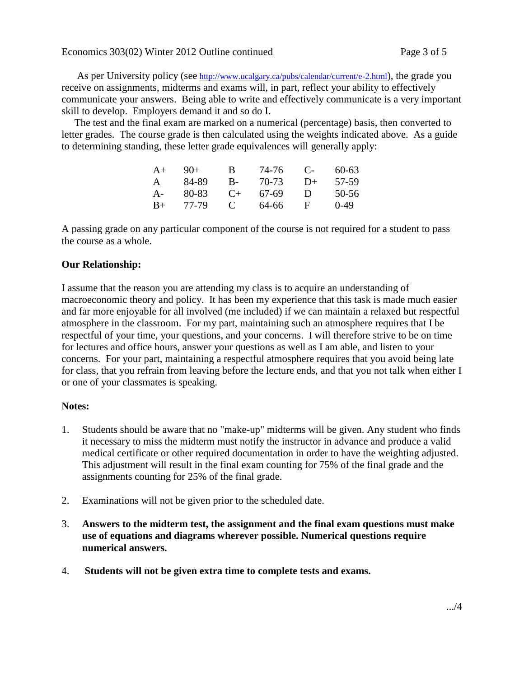As per University policy (see <http://www.ucalgary.ca/pubs/calendar/current/e-2.html>), the grade you receive on assignments, midterms and exams will, in part, reflect your ability to effectively communicate your answers. Being able to write and effectively communicate is a very important skill to develop. Employers demand it and so do I.

 The test and the final exam are marked on a numerical (percentage) basis, then converted to letter grades. The course grade is then calculated using the weights indicated above. As a guide to determining standing, these letter grade equivalences will generally apply:

| $A+$ | $9()+$ | В            | 74-76 | $\mathbf{C}$ | 60-63  |
|------|--------|--------------|-------|--------------|--------|
| A    | 84-89  | В-           | 70-73 | $D+$         | 57-59  |
| A-   | 80-83  | $($ +        | 67-69 | Ð            | 50-56  |
| $B+$ | 77-79  | $\mathbf{C}$ | 64-66 | н            | $0-49$ |

A passing grade on any particular component of the course is not required for a student to pass the course as a whole.

# **Our Relationship:**

I assume that the reason you are attending my class is to acquire an understanding of macroeconomic theory and policy. It has been my experience that this task is made much easier and far more enjoyable for all involved (me included) if we can maintain a relaxed but respectful atmosphere in the classroom. For my part, maintaining such an atmosphere requires that I be respectful of your time, your questions, and your concerns. I will therefore strive to be on time for lectures and office hours, answer your questions as well as I am able, and listen to your concerns. For your part, maintaining a respectful atmosphere requires that you avoid being late for class, that you refrain from leaving before the lecture ends, and that you not talk when either I or one of your classmates is speaking.

# **Notes:**

- 1. Students should be aware that no "make-up" midterms will be given. Any student who finds it necessary to miss the midterm must notify the instructor in advance and produce a valid medical certificate or other required documentation in order to have the weighting adjusted. This adjustment will result in the final exam counting for 75% of the final grade and the assignments counting for 25% of the final grade.
- 2. Examinations will not be given prior to the scheduled date.
- 3. **Answers to the midterm test, the assignment and the final exam questions must make use of equations and diagrams wherever possible. Numerical questions require numerical answers.**
- 4. **Students will not be given extra time to complete tests and exams.**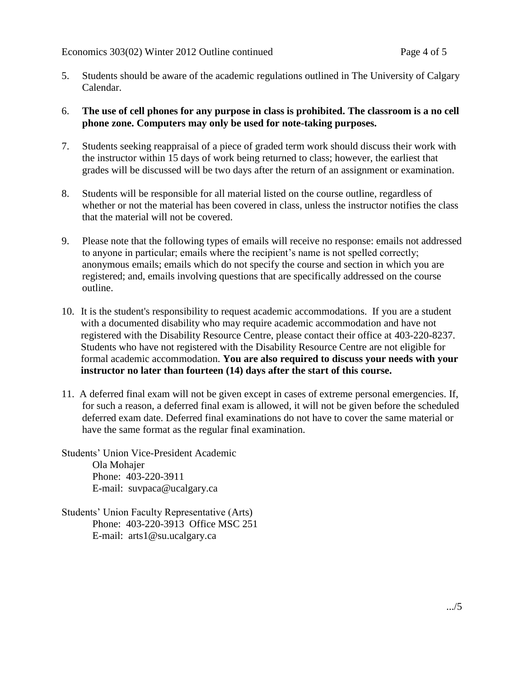- 5. Students should be aware of the academic regulations outlined in The University of Calgary Calendar.
- 6. **The use of cell phones for any purpose in class is prohibited. The classroom is a no cell phone zone. Computers may only be used for note-taking purposes.**
- 7. Students seeking reappraisal of a piece of graded term work should discuss their work with the instructor within 15 days of work being returned to class; however, the earliest that grades will be discussed will be two days after the return of an assignment or examination.
- 8. Students will be responsible for all material listed on the course outline, regardless of whether or not the material has been covered in class, unless the instructor notifies the class that the material will not be covered.
- 9. Please note that the following types of emails will receive no response: emails not addressed to anyone in particular; emails where the recipient's name is not spelled correctly; anonymous emails; emails which do not specify the course and section in which you are registered; and, emails involving questions that are specifically addressed on the course outline.
- 10. It is the student's responsibility to request academic accommodations. If you are a student with a documented disability who may require academic accommodation and have not registered with the Disability Resource Centre, please contact their office at 403-220-8237. Students who have not registered with the Disability Resource Centre are not eligible for formal academic accommodation. **You are also required to discuss your needs with your instructor no later than fourteen (14) days after the start of this course.**
- 11. A deferred final exam will not be given except in cases of extreme personal emergencies. If, for such a reason, a deferred final exam is allowed, it will not be given before the scheduled deferred exam date. Deferred final examinations do not have to cover the same material or have the same format as the regular final examination.

Students' Union Vice-President Academic Ola Mohajer Phone: 403-220-3911 E-mail: suvpaca@ucalgary.ca

Students' Union Faculty Representative (Arts) Phone: 403-220-3913 Office MSC 251 E-mail: arts1@su.ucalgary.ca